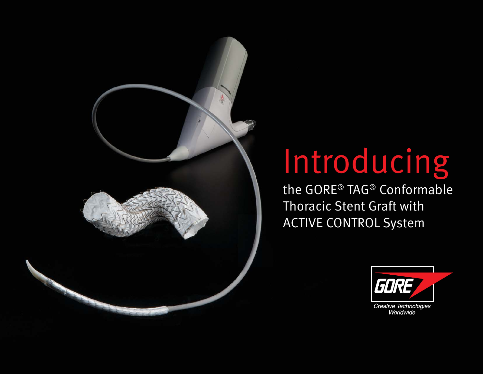# Introducing

the GORE® TAG® Conformable Thoracic Stent Graft with ACTIVE CONTROL System

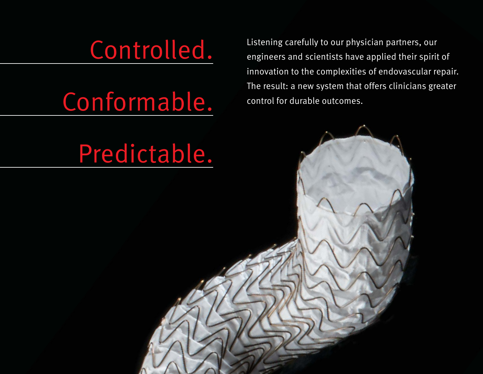### Controlled.

## Conformable.

Listening carefully to our physician partners, our engineers and scientists have applied their spirit of innovation to the complexities of endovascular repair. The result: a new system that offers clinicians greater control for durable outcomes.

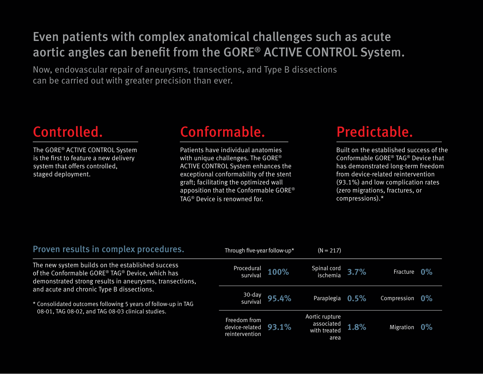#### Even patients with complex anatomical challenges such as acute aortic angles can benefit from the GORE® ACTIVE CONTROL System.

Now, endovascular repair of aneurysms, transections, and Type B dissections can be carried out with greater precision than ever.

#### Controlled.

The GORE® ACTIVE CONTROL System is the first to feature a new delivery system that offers controlled, staged deployment.

#### Conformable. Predictable.

Patients have individual anatomies with unique challenges. The GORE® ACTIVE CONTROL System enhances the exceptional conformability of the stent graft; facilitating the optimized wall apposition that the Conformable GORE® TAG® Device is renowned for.

Built on the established success of the Conformable GORE® TAG® Device that has demonstrated long-term freedom from device-related reintervention (93.1%) and low complication rates (zero migrations, fractures, or compressions).\*

| Proven results in complex procedures.                                                                                                                                                                                                                                                                                             | Through five-year follow-up*                     |       | $(N = 217)$                                          |      |             |                |
|-----------------------------------------------------------------------------------------------------------------------------------------------------------------------------------------------------------------------------------------------------------------------------------------------------------------------------------|--------------------------------------------------|-------|------------------------------------------------------|------|-------------|----------------|
| The new system builds on the established success<br>of the Conformable GORE® TAG® Device, which has<br>demonstrated strong results in aneurysms, transections,<br>and acute and chronic Type B dissections.<br>* Consolidated outcomes following 5 years of follow-up in TAG<br>08-01, TAG 08-02, and TAG 08-03 clinical studies. | Procedural<br>survival                           | 100%  | Spinal cord<br>ischemia 3.7%                         |      | Fracture    | $\mathbf{0\%}$ |
|                                                                                                                                                                                                                                                                                                                                   | 30-day<br>survival                               | 95.4% | Paraplegia 0.5%                                      |      | Compression | $0\%$          |
|                                                                                                                                                                                                                                                                                                                                   | Freedom from<br>device-related<br>reintervention | 93.1% | Aortic rupture<br>associated<br>with treated<br>area | 1.8% | Migration   | $0\%$          |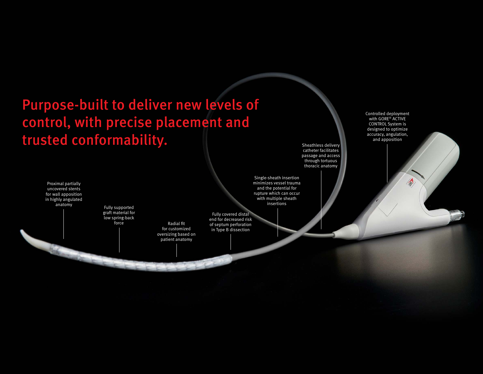### Purpose-built to deliver new levels of control, with precise placement and trusted conformability.

Proximal partially uncovered stents for wall apposition in highly angulated anatomy Fully supported

graft material for low spring-back

Radial fit for customized oversizing based on patient anatomy

minimizes vessel trauma and the potential for rupture which can occur with multiple sheath insertions

Single-sheath insertion

Sheathless delivery catheter facilitates passage and access through tortuous thoracic anatomy

Fully covered distal end for decreased risk of septum perforation in Type B dissection

Controlled deployment with GORE® ACTIVE CONTROL System is designed to optimize accuracy, angulation, and apposition

A